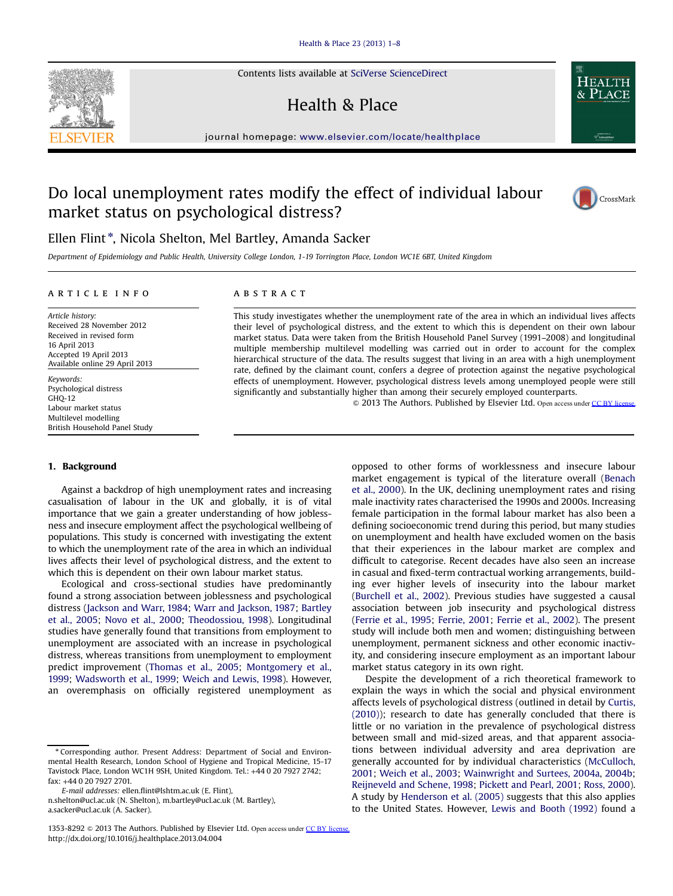Contents lists available at [SciVerse ScienceDirect](www.elsevier.com/locate/healthplace)

# Health & Place

journal homepage: <www.elsevier.com/locate/healthplace>/healthplace/healthplace/healthplace/healthplace/healthplace/healthplace/healthplace/healthplace/healthplace/healthplace/healthplace/healthplace/healthplace/healthplace

# Do local unemployment rates modify the effect of individual labour market status on psychological distress?



Department of Epidemiology and Public Health, University College London, 1-19 Torrington Place, London WC1E 6BT, United Kingdom

### article info

Article history: Received 28 November 2012 Received in revised form 16 April 2013 Accepted 19 April 2013 Available online 29 April 2013

Keywords: Psychological distress  $GHO-12$ Labour market status Multilevel modelling British Household Panel Study

## 1. Background

Against a backdrop of high unemployment rates and increasing casualisation of labour in the UK and globally, it is of vital importance that we gain a greater understanding of how joblessness and insecure employment affect the psychological wellbeing of populations. This study is concerned with investigating the extent to which the unemployment rate of the area in which an individual lives affects their level of psychological distress, and the extent to which this is dependent on their own labour market status.

Ecological and cross-sectional studies have predominantly found a strong association between joblessness and psychological distress [\(Jackson and Warr, 1984](#page-6-0); [Warr and Jackson, 1987](#page-7-0); [Bartley](#page-6-0) [et al., 2005;](#page-6-0) [Novo et al., 2000](#page-6-0); [Theodossiou, 1998\)](#page-6-0). Longitudinal studies have generally found that transitions from employment to unemployment are associated with an increase in psychological distress, whereas transitions from unemployment to employment predict improvement [\(Thomas et al., 2005](#page-6-0); [Montgomery et al.,](#page-6-0) [1999](#page-6-0); [Wadsworth et al., 1999;](#page-7-0) [Weich and Lewis, 1998](#page-7-0)). However, an overemphasis on officially registered unemployment as

[n.shelton@ucl.ac.uk \(N. Shelton\)](mailto:n.shelton@ucl.ac.uk), [m.bartley@ucl.ac.uk \(M. Bartley\)](mailto:m.bartley@ucl.ac.uk), [a.sacker@ucl.ac.uk \(A. Sacker\).](mailto:a.sacker@ucl.ac.uk)

## ABSTRACT

This study investigates whether the unemployment rate of the area in which an individual lives affects their level of psychological distress, and the extent to which this is dependent on their own labour market status. Data were taken from the British Household Panel Survey (1991–2008) and longitudinal multiple membership multilevel modelling was carried out in order to account for the complex hierarchical structure of the data. The results suggest that living in an area with a high unemployment rate, defined by the claimant count, confers a degree of protection against the negative psychological effects of unemployment. However, psychological distress levels among unemployed people were still significantly and substantially higher than among their securely employed counterparts.

 $© 2013$  The Authors. Published by Elsevier Ltd. Open access under [CC BY license.](http://creativecommons.org/licenses/by/3.0/)

opposed to other forms of worklessness and insecure labour market engagement is typical of the literature overall [\(Benach](#page-6-0) [et al., 2000\)](#page-6-0). In the UK, declining unemployment rates and rising male inactivity rates characterised the 1990s and 2000s. Increasing female participation in the formal labour market has also been a defining socioeconomic trend during this period, but many studies on unemployment and health have excluded women on the basis that their experiences in the labour market are complex and difficult to categorise. Recent decades have also seen an increase in casual and fixed-term contractual working arrangements, building ever higher levels of insecurity into the labour market ([Burchell et al., 2002\)](#page-6-0). Previous studies have suggested a causal association between job insecurity and psychological distress ([Ferrie et al., 1995;](#page-6-0) [Ferrie, 2001;](#page-6-0) [Ferrie et al., 2002\)](#page-6-0). The present study will include both men and women; distinguishing between unemployment, permanent sickness and other economic inactivity, and considering insecure employment as an important labour market status category in its own right.

Despite the development of a rich theoretical framework to explain the ways in which the social and physical environment affects levels of psychological distress (outlined in detail by [Curtis,](#page-6-0) [\(2010\)\)](#page-6-0); research to date has generally concluded that there is little or no variation in the prevalence of psychological distress between small and mid-sized areas, and that apparent associations between individual adversity and area deprivation are generally accounted for by individual characteristics ([McCulloch,](#page-6-0) [2001;](#page-6-0) [Weich et al., 2003](#page-7-0); [Wainwright and Surtees, 2004a](#page-7-0), [2004b;](#page-7-0) [Reijneveld and Schene, 1998](#page-6-0); [Pickett and Pearl, 2001;](#page-6-0) [Ross, 2000\)](#page-6-0). A study by [Henderson et al. \(2005\)](#page-6-0) suggests that this also applies to the United States. However, [Lewis and Booth \(1992\)](#page-6-0) found a





<sup>n</sup> Corresponding author. Present Address: Department of Social and Environmental Health Research, London School of Hygiene and Tropical Medicine, 15-17 Tavistock Place, London WC1H 9SH, United Kingdom. Tel.: +44 0 20 7927 2742;  $f_{2X}: 444.0.20.7927.2701$ 

E-mail addresses: ellen.fl[int@lshtm.ac.uk \(E. Flint\),](mailto:ellen.flint@lshtm.ac.uk)

<sup>1353-8292 @ 2013</sup> The Authors. Published by Elsevier Ltd. Open access under [CC BY license.](http://creativecommons.org/licenses/by/3.0/) <http://dx.doi.org/10.1016/j.healthplace.2013.04.004>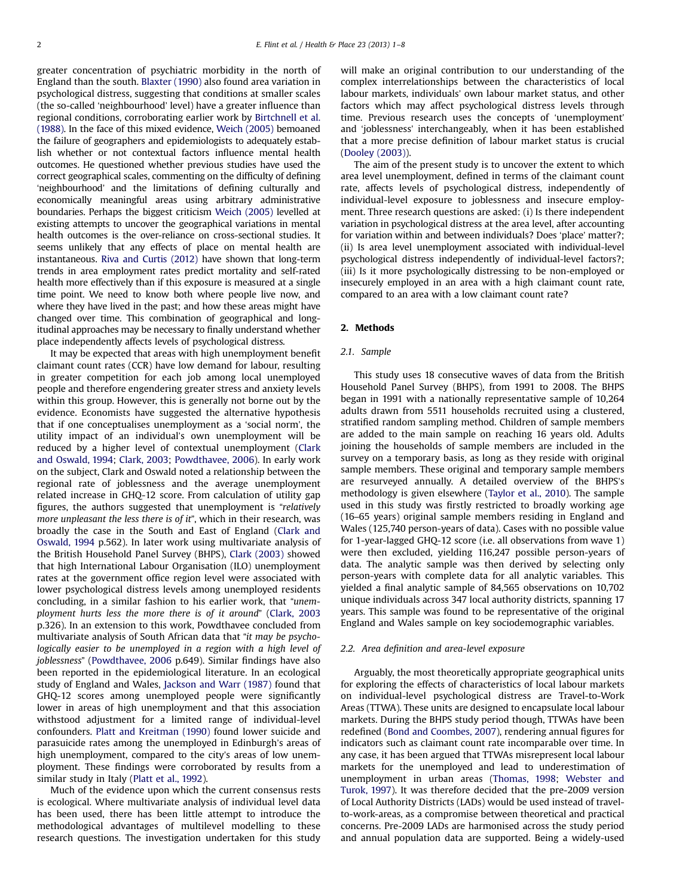greater concentration of psychiatric morbidity in the north of England than the south. [Blaxter \(1990\)](#page-6-0) also found area variation in psychological distress, suggesting that conditions at smaller scales (the so-called 'neighbourhood' level) have a greater influence than regional conditions, corroborating earlier work by [Birtchnell et al.](#page-6-0) [\(1988\)](#page-6-0). In the face of this mixed evidence, [Weich \(2005\)](#page-7-0) bemoaned the failure of geographers and epidemiologists to adequately establish whether or not contextual factors influence mental health outcomes. He questioned whether previous studies have used the correct geographical scales, commenting on the difficulty of defining 'neighbourhood' and the limitations of defining culturally and economically meaningful areas using arbitrary administrative boundaries. Perhaps the biggest criticism [Weich \(2005\)](#page-7-0) levelled at existing attempts to uncover the geographical variations in mental health outcomes is the over-reliance on cross-sectional studies. It seems unlikely that any effects of place on mental health are instantaneous. [Riva and Curtis \(2012\)](#page-6-0) have shown that long-term trends in area employment rates predict mortality and self-rated health more effectively than if this exposure is measured at a single time point. We need to know both where people live now, and where they have lived in the past; and how these areas might have changed over time. This combination of geographical and longitudinal approaches may be necessary to finally understand whether place independently affects levels of psychological distress.

It may be expected that areas with high unemployment benefit claimant count rates (CCR) have low demand for labour, resulting in greater competition for each job among local unemployed people and therefore engendering greater stress and anxiety levels within this group. However, this is generally not borne out by the evidence. Economists have suggested the alternative hypothesis that if one conceptualises unemployment as a 'social norm', the utility impact of an individual's own unemployment will be reduced by a higher level of contextual unemployment [\(Clark](#page-6-0) [and Oswald, 1994](#page-6-0); [Clark, 2003](#page-6-0); [Powdthavee, 2006\)](#page-6-0). In early work on the subject, Clark and Oswald noted a relationship between the regional rate of joblessness and the average unemployment related increase in GHQ-12 score. From calculation of utility gap figures, the authors suggested that unemployment is "relatively more unpleasant the less there is of it", which in their research, was broadly the case in the South and East of England ([Clark and](#page-6-0) [Oswald, 1994](#page-6-0) p.562). In later work using multivariate analysis of the British Household Panel Survey (BHPS), [Clark \(2003\)](#page-6-0) showed that high International Labour Organisation (ILO) unemployment rates at the government office region level were associated with lower psychological distress levels among unemployed residents concluding, in a similar fashion to his earlier work, that "unemployment hurts less the more there is of it around" ([Clark, 2003](#page-6-0) p.326). In an extension to this work, Powdthavee concluded from multivariate analysis of South African data that "it may be psychologically easier to be unemployed in a region with a high level of joblessness" [\(Powdthavee, 2006](#page-6-0) p.649). Similar findings have also been reported in the epidemiological literature. In an ecological study of England and Wales, [Jackson and Warr \(1987\)](#page-6-0) found that GHQ-12 scores among unemployed people were significantly lower in areas of high unemployment and that this association withstood adjustment for a limited range of individual-level confounders. [Platt and Kreitman \(1990\)](#page-6-0) found lower suicide and parasuicide rates among the unemployed in Edinburgh's areas of high unemployment, compared to the city's areas of low unemployment. These findings were corroborated by results from a similar study in Italy ([Platt et al., 1992](#page-6-0)).

Much of the evidence upon which the current consensus rests is ecological. Where multivariate analysis of individual level data has been used, there has been little attempt to introduce the methodological advantages of multilevel modelling to these research questions. The investigation undertaken for this study will make an original contribution to our understanding of the complex interrelationships between the characteristics of local labour markets, individuals' own labour market status, and other factors which may affect psychological distress levels through time. Previous research uses the concepts of 'unemployment' and 'joblessness' interchangeably, when it has been established that a more precise definition of labour market status is crucial ([Dooley \(2003\)](#page-6-0)).

The aim of the present study is to uncover the extent to which area level unemployment, defined in terms of the claimant count rate, affects levels of psychological distress, independently of individual-level exposure to joblessness and insecure employment. Three research questions are asked: (i) Is there independent variation in psychological distress at the area level, after accounting for variation within and between individuals? Does 'place' matter?; (ii) Is area level unemployment associated with individual-level psychological distress independently of individual-level factors?; (iii) Is it more psychologically distressing to be non-employed or insecurely employed in an area with a high claimant count rate, compared to an area with a low claimant count rate?

## 2. Methods

## 2.1. Sample

This study uses 18 consecutive waves of data from the British Household Panel Survey (BHPS), from 1991 to 2008. The BHPS began in 1991 with a nationally representative sample of 10,264 adults drawn from 5511 households recruited using a clustered, stratified random sampling method. Children of sample members are added to the main sample on reaching 16 years old. Adults joining the households of sample members are included in the survey on a temporary basis, as long as they reside with original sample members. These original and temporary sample members are resurveyed annually. A detailed overview of the BHPS's methodology is given elsewhere [\(Taylor et al., 2010\)](#page-6-0). The sample used in this study was firstly restricted to broadly working age (16–65 years) original sample members residing in England and Wales (125,740 person-years of data). Cases with no possible value for 1-year-lagged GHQ-12 score (i.e. all observations from wave 1) were then excluded, yielding 116,247 possible person-years of data. The analytic sample was then derived by selecting only person-years with complete data for all analytic variables. This yielded a final analytic sample of 84,565 observations on 10,702 unique individuals across 347 local authority districts, spanning 17 years. This sample was found to be representative of the original England and Wales sample on key sociodemographic variables.

#### 2.2. Area definition and area-level exposure

Arguably, the most theoretically appropriate geographical units for exploring the effects of characteristics of local labour markets on individual-level psychological distress are Travel-to-Work Areas (TTWA). These units are designed to encapsulate local labour markets. During the BHPS study period though, TTWAs have been redefined [\(Bond and Coombes, 2007](#page-6-0)), rendering annual figures for indicators such as claimant count rate incomparable over time. In any case, it has been argued that TTWAs misrepresent local labour markets for the unemployed and lead to underestimation of unemployment in urban areas ([Thomas, 1998](#page-7-0); [Webster and](#page-7-0) [Turok, 1997\)](#page-7-0). It was therefore decided that the pre-2009 version of Local Authority Districts (LADs) would be used instead of travelto-work-areas, as a compromise between theoretical and practical concerns. Pre-2009 LADs are harmonised across the study period and annual population data are supported. Being a widely-used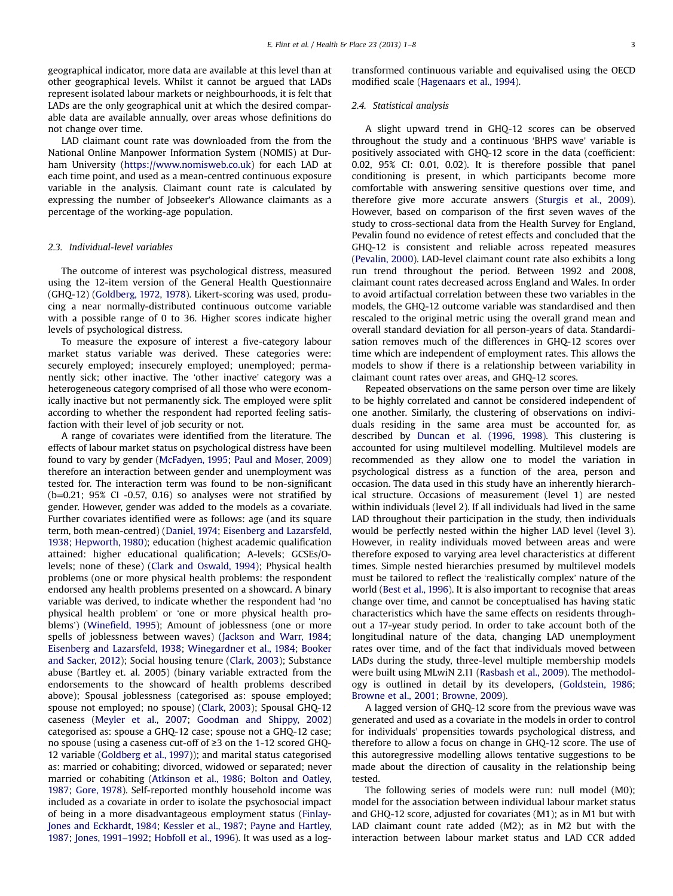geographical indicator, more data are available at this level than at other geographical levels. Whilst it cannot be argued that LADs represent isolated labour markets or neighbourhoods, it is felt that LADs are the only geographical unit at which the desired comparable data are available annually, over areas whose definitions do not change over time.

LAD claimant count rate was downloaded from the from the National Online Manpower Information System (NOMIS) at Durham University (<https://www.nomisweb.co.uk>) for each LAD at each time point, and used as a mean-centred continuous exposure variable in the analysis. Claimant count rate is calculated by expressing the number of Jobseeker's Allowance claimants as a percentage of the working-age population.

#### 2.3. Individual-level variables

The outcome of interest was psychological distress, measured using the 12-item version of the General Health Questionnaire (GHQ-12) ([Goldberg, 1972,](#page-6-0) [1978\)](#page-6-0). Likert-scoring was used, producing a near normally-distributed continuous outcome variable with a possible range of 0 to 36. Higher scores indicate higher levels of psychological distress.

To measure the exposure of interest a five-category labour market status variable was derived. These categories were: securely employed; insecurely employed; unemployed; permanently sick; other inactive. The 'other inactive' category was a heterogeneous category comprised of all those who were economically inactive but not permanently sick. The employed were split according to whether the respondent had reported feeling satisfaction with their level of job security or not.

A range of covariates were identified from the literature. The effects of labour market status on psychological distress have been found to vary by gender ([McFadyen, 1995;](#page-6-0) [Paul and Moser, 2009\)](#page-6-0) therefore an interaction between gender and unemployment was tested for. The interaction term was found to be non-significant (b=0.21; 95% CI -0.57, 0.16) so analyses were not stratified by gender. However, gender was added to the models as a covariate. Further covariates identified were as follows: age (and its square term, both mean-centred) ([Daniel, 1974](#page-6-0); [Eisenberg and Lazarsfeld,](#page-6-0) [1938](#page-6-0); [Hepworth, 1980\)](#page-6-0); education (highest academic qualification attained: higher educational qualification; A-levels; GCSEs/Olevels; none of these) ([Clark and Oswald, 1994](#page-6-0)); Physical health problems (one or more physical health problems: the respondent endorsed any health problems presented on a showcard. A binary variable was derived, to indicate whether the respondent had 'no physical health problem' or 'one or more physical health problems') (Winefi[eld, 1995](#page-7-0)); Amount of joblessness (one or more spells of joblessness between waves) ([Jackson and Warr, 1984;](#page-6-0) [Eisenberg and Lazarsfeld, 1938](#page-6-0); [Winegardner et al., 1984](#page-7-0); [Booker](#page-6-0) [and Sacker, 2012\)](#page-6-0); Social housing tenure [\(Clark, 2003\)](#page-6-0); Substance abuse (Bartley et. al. 2005) (binary variable extracted from the endorsements to the showcard of health problems described above); Spousal joblessness (categorised as: spouse employed; spouse not employed; no spouse) [\(Clark, 2003](#page-6-0)); Spousal GHQ-12 caseness [\(Meyler et al., 2007;](#page-6-0) [Goodman and Shippy, 2002\)](#page-6-0) categorised as: spouse a GHQ-12 case; spouse not a GHQ-12 case; no spouse (using a caseness cut-off of ≥3 on the 1-12 scored GHQ-12 variable ([Goldberg et al., 1997\)](#page-6-0)); and marital status categorised as: married or cohabiting; divorced, widowed or separated; never married or cohabiting ([Atkinson et al., 1986](#page-6-0); [Bolton and Oatley,](#page-6-0) [1987;](#page-6-0) [Gore, 1978](#page-6-0)). Self-reported monthly household income was included as a covariate in order to isolate the psychosocial impact of being in a more disadvantageous employment status ([Finlay-](#page-6-0)[Jones and Eckhardt, 1984;](#page-6-0) [Kessler et al., 1987;](#page-6-0) [Payne and Hartley,](#page-6-0) [1987;](#page-6-0) [Jones, 1991](#page-6-0)–1992; [Hobfoll et al., 1996\)](#page-6-0). It was used as a logtransformed continuous variable and equivalised using the OECD modified scale ([Hagenaars et al., 1994](#page-6-0)).

## 2.4. Statistical analysis

A slight upward trend in GHQ-12 scores can be observed throughout the study and a continuous 'BHPS wave' variable is positively associated with GHQ-12 score in the data (coefficient: 0.02, 95% CI: 0.01, 0.02). It is therefore possible that panel conditioning is present, in which participants become more comfortable with answering sensitive questions over time, and therefore give more accurate answers [\(Sturgis et al., 2009\)](#page-6-0). However, based on comparison of the first seven waves of the study to cross-sectional data from the Health Survey for England, Pevalin found no evidence of retest effects and concluded that the GHQ-12 is consistent and reliable across repeated measures ([Pevalin, 2000\)](#page-6-0). LAD-level claimant count rate also exhibits a long run trend throughout the period. Between 1992 and 2008, claimant count rates decreased across England and Wales. In order to avoid artifactual correlation between these two variables in the models, the GHQ-12 outcome variable was standardised and then rescaled to the original metric using the overall grand mean and overall standard deviation for all person-years of data. Standardisation removes much of the differences in GHQ-12 scores over time which are independent of employment rates. This allows the models to show if there is a relationship between variability in claimant count rates over areas, and GHQ-12 scores.

Repeated observations on the same person over time are likely to be highly correlated and cannot be considered independent of one another. Similarly, the clustering of observations on individuals residing in the same area must be accounted for, as described by [Duncan et al. \(1996,](#page-6-0) [1998\)](#page-6-0). This clustering is accounted for using multilevel modelling. Multilevel models are recommended as they allow one to model the variation in psychological distress as a function of the area, person and occasion. The data used in this study have an inherently hierarchical structure. Occasions of measurement (level 1) are nested within individuals (level 2). If all individuals had lived in the same LAD throughout their participation in the study, then individuals would be perfectly nested within the higher LAD level (level 3). However, in reality individuals moved between areas and were therefore exposed to varying area level characteristics at different times. Simple nested hierarchies presumed by multilevel models must be tailored to reflect the 'realistically complex' nature of the world ([Best et al., 1996\)](#page-6-0). It is also important to recognise that areas change over time, and cannot be conceptualised has having static characteristics which have the same effects on residents throughout a 17-year study period. In order to take account both of the longitudinal nature of the data, changing LAD unemployment rates over time, and of the fact that individuals moved between LADs during the study, three-level multiple membership models were built using MLwiN 2.11 ([Rasbash et al., 2009](#page-6-0)). The methodology is outlined in detail by its developers, ([Goldstein, 1986;](#page-6-0) [Browne et al., 2001;](#page-6-0) [Browne, 2009\)](#page-6-0).

A lagged version of GHQ-12 score from the previous wave was generated and used as a covariate in the models in order to control for individuals' propensities towards psychological distress, and therefore to allow a focus on change in GHQ-12 score. The use of this autoregressive modelling allows tentative suggestions to be made about the direction of causality in the relationship being tested.

The following series of models were run: null model (M0); model for the association between individual labour market status and GHQ-12 score, adjusted for covariates (M1); as in M1 but with LAD claimant count rate added (M2); as in M2 but with the interaction between labour market status and LAD CCR added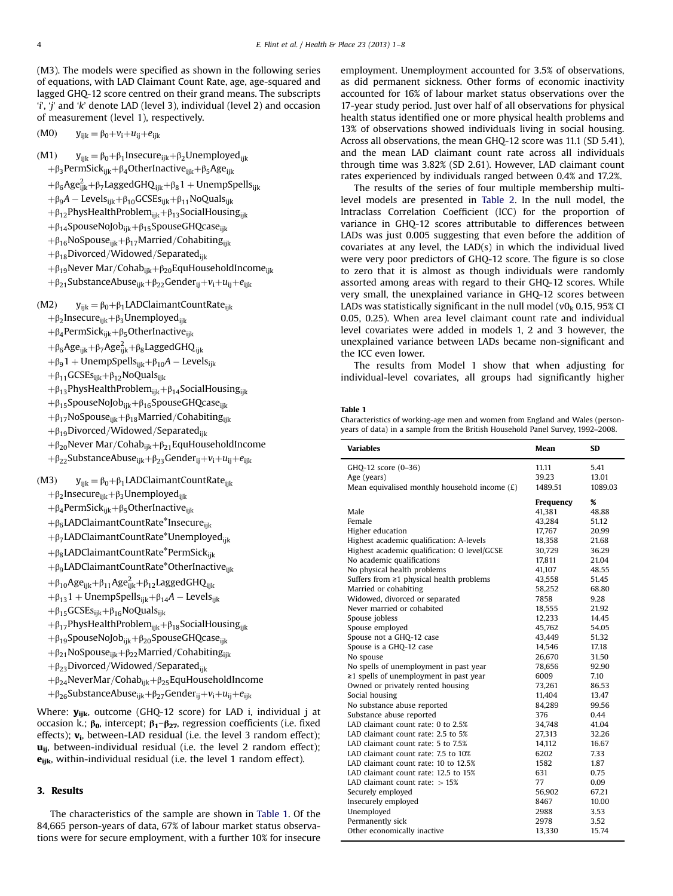(M3). The models were specified as shown in the following series of equations, with LAD Claimant Count Rate, age, age-squared and lagged GHQ-12 score centred on their grand means. The subscripts  $i'$ ,  $j'$  and  $k'$  denote LAD (level 3), individual (level 2) and occasion of measurement (level 1), respectively.

$$
(M0) \t y_{ijk} = \beta_0 + v_i + u_{ij} + e_{ijk}
$$

(M1)  $y_{ijk} = \beta_0 + \beta_1$ Insecure<sub>ijk</sub> +  $\beta_2$ Unemployed<sub>ijk</sub>  $+\beta_3$ PermSick<sub>ijk</sub>+β<sub>4</sub>OtherInactive<sub>ijk</sub>+β<sub>5</sub>Age<sub>ijk</sub>  $+\beta_6$ Age $_{\rm ijk}^2+\beta_7$ LaggedGHQ $_{\rm ijk}+\beta_8$ 1 + UnempSpells $_{\rm ijk}$  $+\beta_9A - \text{Levels}_{ijk}+\beta_{10}\text{GCSEs}_{ijk}+\beta_{11}\text{NoQuals}_{ijk}$  $+\beta_1$ , PhysHealthProblem<sub>iik</sub> + β<sub>13</sub>SocialHousing<sub>iik</sub>  $+\beta_{14}$ SpouseNoJob<sub>ijk</sub> $+\beta_{15}$ SpouseGHQcase<sub>ijk</sub>  $+\beta_{16}$ NoSpouse<sub>ijk</sub> $+\beta_{17}$ Married/Cohabiting<sub>ijk</sub>  $+\beta_{18}$ Divorced/Widowed/Separated<sub>ijk</sub>  $+\beta_{19}$ Never Mar/Cohab<sub>iik</sub> $+\beta_{20}$ EquHouseholdIncome<sub>iik</sub>  $+\beta_{21}$ SubstanceAbuse<sub>ijk</sub> $+\beta_{22}$ Gender<sub>ij</sub> $+\nu_i+u_{ij}+e_{ijk}$ 

(M2)  $y_{ijk} = β_0 + β_1$ LADClaimantCountRate<sub>ijk</sub>  $+\beta_2$ Insecure<sub>ijk</sub> $+\beta_3$ Unemployed<sub>ijk</sub>  $+\beta_4$ PermSick<sub>ijk</sub> $+\beta_5$ OtherInactive<sub>ijk</sub>  $+\beta_6$ Age $_{\rm ijk}+\beta_7$ Age $_{\rm ijk}^2+\beta_8$ LaggedGHQ $_{\rm ijk}$  $+\beta_9$ 1 + UnempSpells $_{\rm ijk}$ + $\beta_{10}$ A – Levels $_{\rm ijk}$  $+\beta_{11}$ GCSEs<sub>ijk</sub> $+\beta_{12}$ NoQuals<sub>ijk</sub>  $+\beta_{13}$ PhysHealthProblem<sub>iik</sub> $+\beta_{14}$ SocialHousing<sub>iik</sub>  $+\beta_{15}$ SpouseNoJob<sub>iik</sub> $+\beta_{16}$ SpouseGHQcase<sub>iik</sub>  $+\beta_{17}$ NoSpouse<sub>ijk</sub> $+\beta_{18}$ Married/Cohabiting<sub>ijk</sub>  $+\beta_{19}$ Divorced/Widowed/Separated<sub>ijk</sub>  $+\beta_{20}$ Never Mar/Cohab<sub>iik</sub> $+\beta_{21}$ EquHouseholdIncome  $+\beta_{22}$ SubstanceAbuse<sub>ijk</sub>+β<sub>23</sub>Gender<sub>ij</sub>+v<sub>i</sub>+u<sub>ij</sub>+e<sub>ijk</sub>

(M3)  $y_{iik} = β_0 + β_1$ LADClaimantCountRate<sub>ijk</sub>  $+\beta_2$ Insecure<sub>ijk</sub> $+\beta_3$ Unemployed<sub>ijk</sub>  $+\beta_4$ PermSick<sub>ijk</sub>+β<sub>5</sub>OtherInactive<sub>ijk</sub>  $+\beta_6$ LADClaimantCountRate $^*$ Insecure $_{\mathsf{i}\mathsf{j}\mathsf{k}}$  $+\beta_7$ LADClaimantCountRate $^*$ Unemployed $_{\mathsf{i}\mathsf{j}\mathsf{k}}$  $+\beta_8$ LADClaimantCountRate\*PermSick<sub>ijk</sub>  $+\beta_9$ LADClaimantCountRate\*OtherInactive<sub>ijk</sub>  $+\beta_{10}A$ ge<sub>ijk</sub> $+\beta_{11}A$ ge ${}^{2}_{ijk}+\beta_{12}$ LaggedGHQ<sub>ijk</sub>  $+\beta_{13}$ 1 + UnempSpells<sub>ijk</sub>+ $\beta_{14}$ A – Levels<sub>ijk</sub>  $+\beta_{15} GCSEs_{iik}+\beta_{16} NoQuals_{iik}$  $+\beta_{17}$ PhysHealthProblem<sub>ijk</sub> $+\beta_{18}$ SocialHousing<sub>ijk</sub>  $+\beta_{19}$ SpouseNoJob<sub>ijk</sub> $+\beta_{20}$ SpouseGHQcase<sub>ijk</sub>  $+\beta_{21}$ NoSpouse<sub>ijk</sub> $+\beta_{22}$ Married/Cohabiting<sub>ijk</sub>  $+\beta_{23}$ Divorced/Widowed/Separated<sub>iik</sub>  $+\beta_{24}$ NeverMar/Cohab<sub>ijk</sub> + β<sub>25</sub>EquHouseholdIncome

 $+\beta_{26}$ SubstanceAbuse<sub>ijk</sub>+β<sub>27</sub>Gender<sub>ij</sub>+v<sub>i</sub>+u<sub>ij</sub>+e<sub>ijk</sub>

Where:  $y_{ijk}$ , outcome (GHQ-12 score) for LAD i, individual j at occasion k.;  $β_0$ , intercept;  $β_1$ - $β_{27}$ , regression coefficients (i.e. fixed effects);  $v_i$ , between-LAD residual (i.e. the level 3 random effect);  $\mathbf{u}_{ij}$ , between-individual residual (i.e. the level 2 random effect);  $e_{ijk}$ , within-individual residual (i.e. the level 1 random effect).

## 3. Results

The characteristics of the sample are shown in Table 1. Of the 84,665 person-years of data, 67% of labour market status observations were for secure employment, with a further 10% for insecure

employment. Unemployment accounted for 3.5% of observations, as did permanent sickness. Other forms of economic inactivity accounted for 16% of labour market status observations over the 17-year study period. Just over half of all observations for physical health status identified one or more physical health problems and 13% of observations showed individuals living in social housing. Across all observations, the mean GHQ-12 score was 11.1 (SD 5.41), and the mean LAD claimant count rate across all individuals through time was 3.82% (SD 2.61). However, LAD claimant count rates experienced by individuals ranged between 0.4% and 17.2%.

The results of the series of four multiple membership multilevel models are presented in [Table 2.](#page-4-0) In the null model, the Intraclass Correlation Coefficient (ICC) for the proportion of variance in GHQ-12 scores attributable to differences between LADs was just 0.005 suggesting that even before the addition of covariates at any level, the LAD(s) in which the individual lived were very poor predictors of GHQ-12 score. The figure is so close to zero that it is almost as though individuals were randomly assorted among areas with regard to their GHQ-12 scores. While very small, the unexplained variance in GHQ-12 scores between LADs was statistically significant in the null model ( $v0<sub>k</sub>$  0.15, 95% CI 0.05, 0.25). When area level claimant count rate and individual level covariates were added in models 1, 2 and 3 however, the unexplained variance between LADs became non-significant and the ICC even lower.

The results from Model 1 show that when adjusting for individual-level covariates, all groups had significantly higher

#### Table 1

Characteristics of working-age men and women from England and Wales (personyears of data) in a sample from the British Household Panel Survey, 1992–2008.

| <b>Variables</b>                                | Mean      | <b>SD</b> |
|-------------------------------------------------|-----------|-----------|
| GHQ-12 score (0-36)                             | 11.11     | 5.41      |
| Age (years)                                     | 39.23     | 13.01     |
| Mean equivalised monthly household income $(f)$ | 1489.51   | 1089.03   |
|                                                 | Frequency | %         |
| Male                                            | 41,381    | 48.88     |
| Female                                          | 43,284    | 51.12     |
| Higher education                                | 17,767    | 20.99     |
| Highest academic qualification: A-levels        | 18,358    | 21.68     |
| Highest academic qualification: O level/GCSE    | 30,729    | 36.29     |
| No academic qualifications                      | 17.811    | 21.04     |
| No physical health problems                     | 41.107    | 48.55     |
| Suffers from $\geq 1$ physical health problems  | 43,558    | 51.45     |
| Married or cohabiting                           | 58,252    | 68.80     |
| Widowed, divorced or separated                  | 7858      | 9.28      |
| Never married or cohabited                      | 18.555    | 21.92     |
| Spouse jobless                                  | 12,233    | 14.45     |
| Spouse employed                                 | 45,762    | 54.05     |
| Spouse not a GHQ-12 case                        | 43,449    | 51.32     |
| Spouse is a GHQ-12 case                         | 14,546    | 17.18     |
| No spouse                                       | 26,670    | 31.50     |
| No spells of unemployment in past year          | 78,656    | 92.90     |
| $\geq$ 1 spells of unemployment in past year    | 6009      | 7.10      |
| Owned or privately rented housing               | 73,261    | 86.53     |
| Social housing                                  | 11,404    | 13.47     |
| No substance abuse reported                     | 84.289    | 99.56     |
| Substance abuse reported                        | 376       | 0.44      |
| LAD claimant count rate: 0 to 2.5%              | 34,748    | 41.04     |
| LAD claimant count rate: 2.5 to 5%              | 27,313    | 32.26     |
| LAD claimant count rate: 5 to 7.5%              | 14,112    | 16.67     |
| LAD claimant count rate: 7.5 to 10%             | 6202      | 7.33      |
| LAD claimant count rate: 10 to 12.5%            | 1582      | 1.87      |
| LAD claimant count rate: 12.5 to 15%            | 631       | 0.75      |
| LAD claimant count rate: $>15\%$                | 77        | 0.09      |
| Securely employed                               | 56,902    | 67.21     |
| Insecurely employed                             | 8467      | 10.00     |
| Unemployed                                      | 2988      | 3.53      |
| Permanently sick                                | 2978      | 3.52      |
| Other economically inactive                     | 13,330    | 15.74     |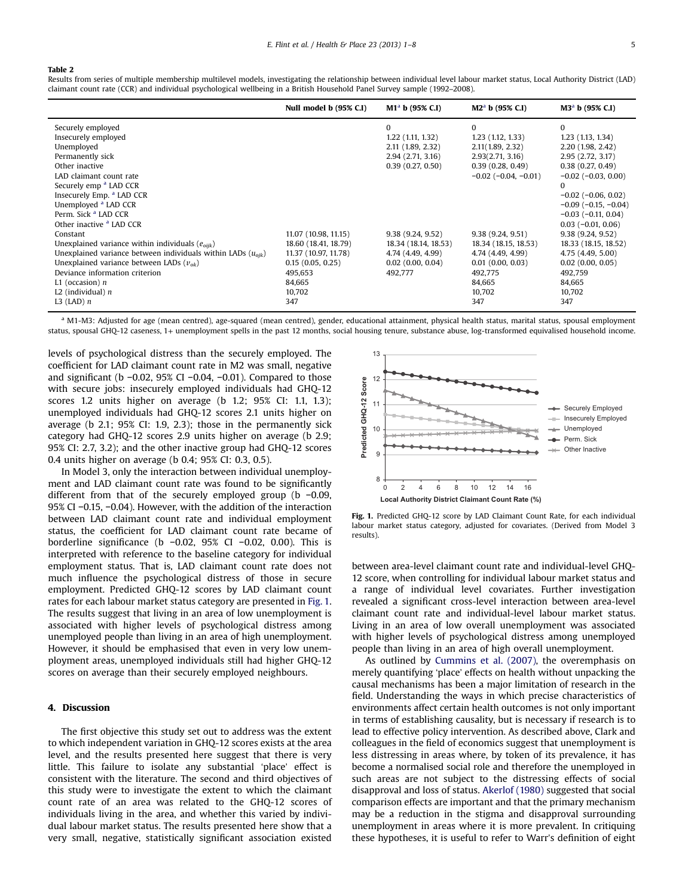#### <span id="page-4-0"></span>Table 2

Results from series of multiple membership multilevel models, investigating the relationship between individual level labour market status, Local Authority District (LAD) claimant count rate (CCR) and individual psychological wellbeing in a British Household Panel Survey sample (1992–2008).

|                                                                                                                                                                                                                                                                        | Null model b (95% C.I)                                                                                 | $M1a$ b (95% C.I)                                                                          | $M2a$ b (95% C.I)                                                                                                            | $M3a$ b (95% C.I)                                                                                                                             |
|------------------------------------------------------------------------------------------------------------------------------------------------------------------------------------------------------------------------------------------------------------------------|--------------------------------------------------------------------------------------------------------|--------------------------------------------------------------------------------------------|------------------------------------------------------------------------------------------------------------------------------|-----------------------------------------------------------------------------------------------------------------------------------------------|
| Securely employed<br>Insecurely employed<br>Unemployed<br>Permanently sick<br>Other inactive<br>LAD claimant count rate<br>Securely emp <sup>a</sup> LAD CCR                                                                                                           |                                                                                                        | $\Omega$<br>1.22(1.11, 1.32)<br>2.11 (1.89, 2.32)<br>2.94 (2.71, 3.16)<br>0.39(0.27, 0.50) | $\Omega$<br>$1,23$ (1.12, 1.33)<br>2.11(1.89, 2.32)<br>2.93(2.71, 3.16)<br>0.39(0.28, 0.49)<br>$-0.02$ ( $-0.04$ , $-0.01$ ) | $\Omega$<br>$1,23$ (1.13, 1.34)<br>2.20 (1.98, 2.42)<br>2.95(2.72, 3.17)<br>0.38(0.27, 0.49)<br>$-0.02$ ( $-0.03$ , $0.00$ )<br>$\Omega$      |
| Insecurely Emp. <sup>a</sup> LAD CCR<br>Unemployed <sup>a</sup> LAD CCR<br>Perm. Sick <sup>a</sup> LAD CCR<br>Other inactive <sup>a</sup> LAD CCR<br>Constant                                                                                                          | 11.07 (10.98, 11.15)                                                                                   | 9.38(9.24, 9.52)                                                                           | 9.38(9.24, 9.51)                                                                                                             | $-0.02$ ( $-0.06$ , $0.02$ )<br>$-0.09$ ( $-0.15$ , $-0.04$ )<br>$-0.03$ ( $-0.11$ , 0.04)<br>$0.03$ ( $-0.01$ , $0.06$ )<br>9.38(9.24, 9.52) |
| Unexplained variance within individuals $(e_{oiik})$<br>Unexplained variance between individuals within LADs $(u_{oik})$<br>Unexplained variance between LADs $(v_{ok})$<br>Deviance information criterion<br>L1 (occasion) $n$<br>L2 (individual) $n$<br>L3 (LAD) $n$ | 18.60 (18.41, 18.79)<br>11.37 (10.97, 11.78)<br>0.15(0.05, 0.25)<br>495,653<br>84,665<br>10,702<br>347 | 18.34 (18.14, 18.53)<br>4.74 (4.49, 4.99)<br>$0.02$ $(0.00, 0.04)$<br>492,777              | 18.34 (18.15, 18.53)<br>4.74 (4.49, 4.99)<br>0.01(0.00, 0.03)<br>492,775<br>84,665<br>10,702<br>347                          | 18.33 (18.15, 18.52)<br>4.75 (4.49, 5.00)<br>0.02(0.00, 0.05)<br>492,759<br>84,665<br>10,702<br>347                                           |

<sup>a</sup> M1-M3: Adjusted for age (mean centred), age-squared (mean centred), gender, educational attainment, physical health status, marital status, spousal employment status, spousal GHQ-12 caseness, 1+ unemployment spells in the past 12 months, social housing tenure, substance abuse, log-transformed equivalised household income.

levels of psychological distress than the securely employed. The coefficient for LAD claimant count rate in M2 was small, negative and significant (b −0.02, 95% CI −0.04, −0.01). Compared to those with secure jobs: insecurely employed individuals had GHQ-12 scores 1.2 units higher on average (b 1.2; 95% CI: 1.1, 1.3); unemployed individuals had GHQ-12 scores 2.1 units higher on average (b 2.1; 95% CI: 1.9, 2.3); those in the permanently sick category had GHQ-12 scores 2.9 units higher on average (b 2.9; 95% CI: 2.7, 3.2); and the other inactive group had GHQ-12 scores 0.4 units higher on average (b 0.4; 95% CI: 0.3, 0.5).

In Model 3, only the interaction between individual unemployment and LAD claimant count rate was found to be significantly different from that of the securely employed group (b −0.09, 95% CI −0.15, −0.04). However, with the addition of the interaction between LAD claimant count rate and individual employment status, the coefficient for LAD claimant count rate became of borderline significance (b −0.02, 95% CI −0.02, 0.00). This is interpreted with reference to the baseline category for individual employment status. That is, LAD claimant count rate does not much influence the psychological distress of those in secure employment. Predicted GHQ-12 scores by LAD claimant count rates for each labour market status category are presented in Fig. 1. The results suggest that living in an area of low unemployment is associated with higher levels of psychological distress among unemployed people than living in an area of high unemployment. However, it should be emphasised that even in very low unemployment areas, unemployed individuals still had higher GHQ-12 scores on average than their securely employed neighbours.

## 4. Discussion

The first objective this study set out to address was the extent to which independent variation in GHQ-12 scores exists at the area level, and the results presented here suggest that there is very little. This failure to isolate any substantial 'place' effect is consistent with the literature. The second and third objectives of this study were to investigate the extent to which the claimant count rate of an area was related to the GHQ-12 scores of individuals living in the area, and whether this varied by individual labour market status. The results presented here show that a very small, negative, statistically significant association existed



Fig. 1. Predicted GHQ-12 score by LAD Claimant Count Rate, for each individual labour market status category, adjusted for covariates. (Derived from Model 3 results).

between area-level claimant count rate and individual-level GHQ-12 score, when controlling for individual labour market status and a range of individual level covariates. Further investigation revealed a significant cross-level interaction between area-level claimant count rate and individual-level labour market status. Living in an area of low overall unemployment was associated with higher levels of psychological distress among unemployed people than living in an area of high overall unemployment.

As outlined by [Cummins et al. \(2007\)](#page-6-0), the overemphasis on merely quantifying 'place' effects on health without unpacking the causal mechanisms has been a major limitation of research in the field. Understanding the ways in which precise characteristics of environments affect certain health outcomes is not only important in terms of establishing causality, but is necessary if research is to lead to effective policy intervention. As described above, Clark and colleagues in the field of economics suggest that unemployment is less distressing in areas where, by token of its prevalence, it has become a normalised social role and therefore the unemployed in such areas are not subject to the distressing effects of social disapproval and loss of status. [Akerlof \(1980\)](#page-6-0) suggested that social comparison effects are important and that the primary mechanism may be a reduction in the stigma and disapproval surrounding unemployment in areas where it is more prevalent. In critiquing these hypotheses, it is useful to refer to Warr's definition of eight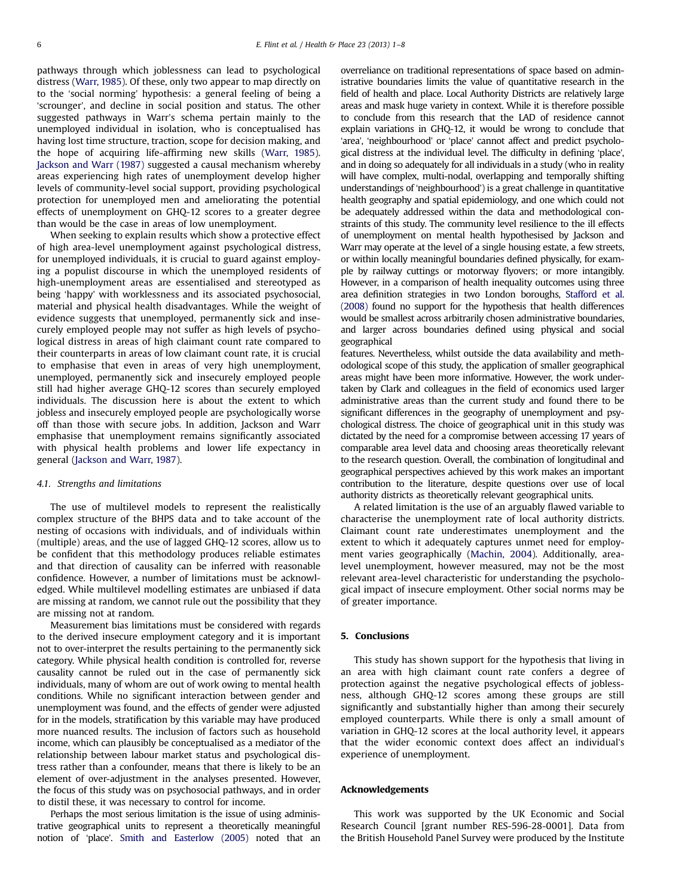pathways through which joblessness can lead to psychological distress ([Warr, 1985\)](#page-7-0). Of these, only two appear to map directly on to the 'social norming' hypothesis: a general feeling of being a 'scrounger', and decline in social position and status. The other suggested pathways in Warr's schema pertain mainly to the unemployed individual in isolation, who is conceptualised has having lost time structure, traction, scope for decision making, and the hope of acquiring life-affirming new skills ([Warr, 1985\)](#page-7-0). [Jackson and Warr \(1987\)](#page-6-0) suggested a causal mechanism whereby areas experiencing high rates of unemployment develop higher levels of community-level social support, providing psychological protection for unemployed men and ameliorating the potential effects of unemployment on GHQ-12 scores to a greater degree than would be the case in areas of low unemployment.

When seeking to explain results which show a protective effect of high area-level unemployment against psychological distress, for unemployed individuals, it is crucial to guard against employing a populist discourse in which the unemployed residents of high-unemployment areas are essentialised and stereotyped as being 'happy' with worklessness and its associated psychosocial, material and physical health disadvantages. While the weight of evidence suggests that unemployed, permanently sick and insecurely employed people may not suffer as high levels of psychological distress in areas of high claimant count rate compared to their counterparts in areas of low claimant count rate, it is crucial to emphasise that even in areas of very high unemployment, unemployed, permanently sick and insecurely employed people still had higher average GHQ-12 scores than securely employed individuals. The discussion here is about the extent to which jobless and insecurely employed people are psychologically worse off than those with secure jobs. In addition, Jackson and Warr emphasise that unemployment remains significantly associated with physical health problems and lower life expectancy in general ([Jackson and Warr, 1987](#page-6-0)).

#### 4.1. Strengths and limitations

The use of multilevel models to represent the realistically complex structure of the BHPS data and to take account of the nesting of occasions with individuals, and of individuals within (multiple) areas, and the use of lagged GHQ-12 scores, allow us to be confident that this methodology produces reliable estimates and that direction of causality can be inferred with reasonable confidence. However, a number of limitations must be acknowledged. While multilevel modelling estimates are unbiased if data are missing at random, we cannot rule out the possibility that they are missing not at random.

Measurement bias limitations must be considered with regards to the derived insecure employment category and it is important not to over-interpret the results pertaining to the permanently sick category. While physical health condition is controlled for, reverse causality cannot be ruled out in the case of permanently sick individuals, many of whom are out of work owing to mental health conditions. While no significant interaction between gender and unemployment was found, and the effects of gender were adjusted for in the models, stratification by this variable may have produced more nuanced results. The inclusion of factors such as household income, which can plausibly be conceptualised as a mediator of the relationship between labour market status and psychological distress rather than a confounder, means that there is likely to be an element of over-adjustment in the analyses presented. However, the focus of this study was on psychosocial pathways, and in order to distil these, it was necessary to control for income.

Perhaps the most serious limitation is the issue of using administrative geographical units to represent a theoretically meaningful notion of 'place'. [Smith and Easterlow \(2005\)](#page-6-0) noted that an overreliance on traditional representations of space based on administrative boundaries limits the value of quantitative research in the field of health and place. Local Authority Districts are relatively large areas and mask huge variety in context. While it is therefore possible to conclude from this research that the LAD of residence cannot explain variations in GHQ-12, it would be wrong to conclude that 'area', 'neighbourhood' or 'place' cannot affect and predict psychological distress at the individual level. The difficulty in defining 'place', and in doing so adequately for all individuals in a study (who in reality will have complex, multi-nodal, overlapping and temporally shifting understandings of 'neighbourhood') is a great challenge in quantitative health geography and spatial epidemiology, and one which could not be adequately addressed within the data and methodological constraints of this study. The community level resilience to the ill effects of unemployment on mental health hypothesised by Jackson and Warr may operate at the level of a single housing estate, a few streets, or within locally meaningful boundaries defined physically, for example by railway cuttings or motorway flyovers; or more intangibly. However, in a comparison of health inequality outcomes using three area definition strategies in two London boroughs, [Stafford et al.](#page-6-0) [\(2008\)](#page-6-0) found no support for the hypothesis that health differences would be smallest across arbitrarily chosen administrative boundaries, and larger across boundaries defined using physical and social geographical

features. Nevertheless, whilst outside the data availability and methodological scope of this study, the application of smaller geographical areas might have been more informative. However, the work undertaken by Clark and colleagues in the field of economics used larger administrative areas than the current study and found there to be significant differences in the geography of unemployment and psychological distress. The choice of geographical unit in this study was dictated by the need for a compromise between accessing 17 years of comparable area level data and choosing areas theoretically relevant to the research question. Overall, the combination of longitudinal and geographical perspectives achieved by this work makes an important contribution to the literature, despite questions over use of local authority districts as theoretically relevant geographical units.

A related limitation is the use of an arguably flawed variable to characterise the unemployment rate of local authority districts. Claimant count rate underestimates unemployment and the extent to which it adequately captures unmet need for employment varies geographically ([Machin, 2004\)](#page-6-0). Additionally, arealevel unemployment, however measured, may not be the most relevant area-level characteristic for understanding the psychological impact of insecure employment. Other social norms may be of greater importance.

## 5. Conclusions

This study has shown support for the hypothesis that living in an area with high claimant count rate confers a degree of protection against the negative psychological effects of joblessness, although GHQ-12 scores among these groups are still significantly and substantially higher than among their securely employed counterparts. While there is only a small amount of variation in GHQ-12 scores at the local authority level, it appears that the wider economic context does affect an individual's experience of unemployment.

#### Acknowledgements

This work was supported by the UK Economic and Social Research Council [grant number RES-596-28-0001]. Data from the British Household Panel Survey were produced by the Institute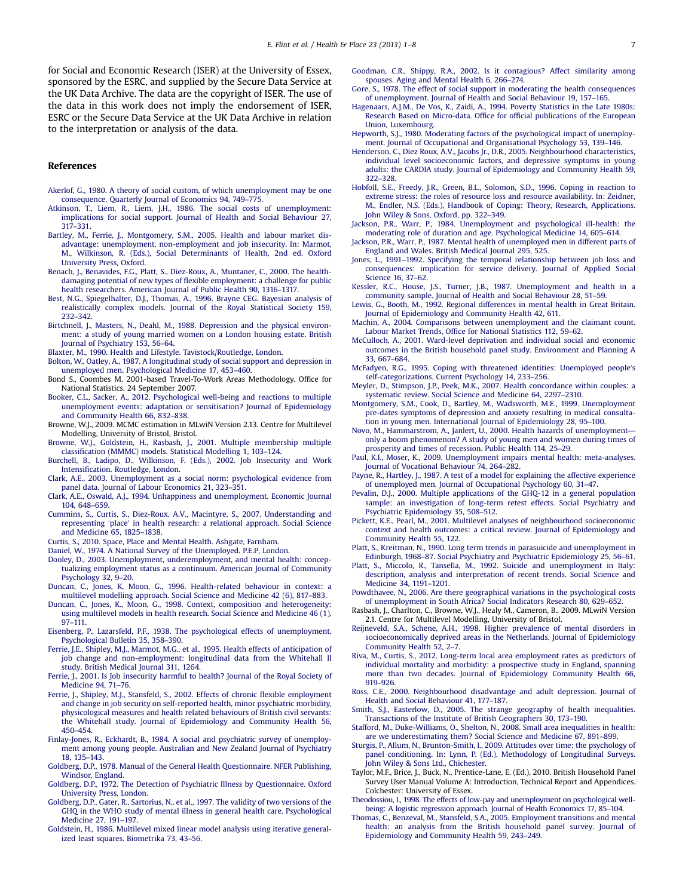<span id="page-6-0"></span>for Social and Economic Research (ISER) at the University of Essex, sponsored by the ESRC, and supplied by the Secure Data Service at the UK Data Archive. The data are the copyright of ISER. The use of the data in this work does not imply the endorsement of ISER, ESRC or the Secure Data Service at the UK Data Archive in relation to the interpretation or analysis of the data.

#### References

- [Akerlof, G., 1980. A theory of social custom, of which unemployment may be one](http://refhub.elsevier.com/S1353-8292(13)00064-6/sbref1) [consequence. Quarterly Journal of Economics 94, 749](http://refhub.elsevier.com/S1353-8292(13)00064-6/sbref1)–775.
- [Atkinson, T., Liem, R., Liem, J.H., 1986. The social costs of unemployment:](http://refhub.elsevier.com/S1353-8292(13)00064-6/sbref2) [implications for social support. Journal of Health and Social Behaviour 27,](http://refhub.elsevier.com/S1353-8292(13)00064-6/sbref2) 317–[331.](http://refhub.elsevier.com/S1353-8292(13)00064-6/sbref2)
- [Bartley, M., Ferrie, J., Montgomery, S.M., 2005. Health and labour market dis](http://refhub.elsevier.com/S1353-8292(13)00064-6/sbref3)[advantage: unemployment, non-employment and job insecurity. In: Marmot,](http://refhub.elsevier.com/S1353-8292(13)00064-6/sbref3) [M., Wilkinson, R. \(Eds.\), Social Determinants of Health, 2nd ed. Oxford](http://refhub.elsevier.com/S1353-8292(13)00064-6/sbref3) [University Press, Oxford.](http://refhub.elsevier.com/S1353-8292(13)00064-6/sbref3)
- [Benach, J., Benavides, F.G., Platt, S., Diez-Roux, A., Muntaner, C., 2000. The health](http://refhub.elsevier.com/S1353-8292(13)00064-6/sbref4)damaging potential of new types of fl[exible employment: a challenge for public](http://refhub.elsevier.com/S1353-8292(13)00064-6/sbref4) [health researchers. American Journal of Public Health 90, 1316](http://refhub.elsevier.com/S1353-8292(13)00064-6/sbref4)–1317.
- [Best, N.G., Spiegelhalter, D.J., Thomas, A., 1996. Brayne CEG. Bayesian analysis of](http://refhub.elsevier.com/S1353-8292(13)00064-6/sbref5) [realistically complex models. Journal of the Royal Statistical Society 159,](http://refhub.elsevier.com/S1353-8292(13)00064-6/sbref5) 232–[342.](http://refhub.elsevier.com/S1353-8292(13)00064-6/sbref5)
- [Birtchnell, J., Masters, N., Deahl, M., 1988. Depression and the physical environ](http://refhub.elsevier.com/S1353-8292(13)00064-6/sbref6)[ment: a study of young married women on a London housing estate. British](http://refhub.elsevier.com/S1353-8292(13)00064-6/sbref6) [Journal of Psychiatry 153, 56](http://refhub.elsevier.com/S1353-8292(13)00064-6/sbref6)–64.
- [Blaxter, M., 1990. Health and Lifestyle. Tavistock/Routledge, London.](http://refhub.elsevier.com/S1353-8292(13)00064-6/sbref7)
- [Bolton, W., Oatley, A., 1987. A longitudinal study of social support and depression in](http://refhub.elsevier.com/S1353-8292(13)00064-6/sbref8) [unemployed men. Psychological Medicine 17, 453](http://refhub.elsevier.com/S1353-8292(13)00064-6/sbref8)–460.
- Bond S., Coombes M. 2001-based Travel-To-Work Areas Methodology. Office for National Statistics. 24 September 2007.
- [Booker, C.L., Sacker, A., 2012. Psychological well-being and reactions to multiple](http://refhub.elsevier.com/S1353-8292(13)00064-6/sbref9) [unemployment events: adaptation or sensitisation? Journal of Epidemiology](http://refhub.elsevier.com/S1353-8292(13)00064-6/sbref9) [and Community Health 66, 832](http://refhub.elsevier.com/S1353-8292(13)00064-6/sbref9)–838.
- Browne, W.J., 2009. MCMC estimation in MLwiN Version 2.13. Centre for Multilevel Modelling, University of Bristol, Bristol.
- [Browne, W.J., Goldstein, H., Rasbash, J., 2001. Multiple membership multiple](http://refhub.elsevier.com/S1353-8292(13)00064-6/sbref10) classifi[cation \(MMMC\) models. Statistical Modelling 1, 103](http://refhub.elsevier.com/S1353-8292(13)00064-6/sbref10)–124. [Burchell, B., Ladipo, D., Wilkinson, F. \(Eds.\), 2002. Job Insecurity and Work](http://refhub.elsevier.com/S1353-8292(13)00064-6/sbref11)
- Intensifi[cation. Routledge, London.](http://refhub.elsevier.com/S1353-8292(13)00064-6/sbref11)
- [Clark, A.E., 2003. Unemployment as a social norm: psychological evidence from](http://refhub.elsevier.com/S1353-8292(13)00064-6/sbref12) [panel data. Journal of Labour Economics 21, 323](http://refhub.elsevier.com/S1353-8292(13)00064-6/sbref12)–351.
- [Clark, A.E., Oswald, A.J., 1994. Unhappiness and unemployment. Economic Journal](http://refhub.elsevier.com/S1353-8292(13)00064-6/sbref13) [104, 648](http://refhub.elsevier.com/S1353-8292(13)00064-6/sbref13)–659.
- [Cummins, S., Curtis, S., Diez-Roux, A.V., Macintyre, S., 2007. Understanding and](http://refhub.elsevier.com/S1353-8292(13)00064-6/sbref14) representing 'place' [in health research: a relational approach. Social Science](http://refhub.elsevier.com/S1353-8292(13)00064-6/sbref14) [and Medicine 65, 1825](http://refhub.elsevier.com/S1353-8292(13)00064-6/sbref14)–1838.
- [Curtis, S., 2010. Space, Place and Mental Health. Ashgate, Farnham.](http://refhub.elsevier.com/S1353-8292(13)00064-6/sbref15)
- [Daniel, W., 1974. A National Survey of the Unemployed. P.E.P, London.](http://refhub.elsevier.com/S1353-8292(13)00064-6/sbref16)
- [Dooley, D., 2003. Unemployment, underemployment, and mental health: concep](http://refhub.elsevier.com/S1353-8292(13)00064-6/sbref17)[tualizing employment status as a continuum. American Journal of Community](http://refhub.elsevier.com/S1353-8292(13)00064-6/sbref17) [Psychology 32, 9](http://refhub.elsevier.com/S1353-8292(13)00064-6/sbref17)–20.
- [Duncan, C., Jones, K, Moon, G., 1996. Health-related behaviour in context: a](http://refhub.elsevier.com/S1353-8292(13)00064-6/sbref18) [multilevel modelling approach. Social Science and Medicine 42 \(6\), 817](http://refhub.elsevier.com/S1353-8292(13)00064-6/sbref18)–883.
- [Duncan, C., Jones, K., Moon, G., 1998. Context, composition and heterogeneity:](http://refhub.elsevier.com/S1353-8292(13)00064-6/sbref19) [using multilevel models in health research. Social Science and Medicine 46 \(1\),](http://refhub.elsevier.com/S1353-8292(13)00064-6/sbref19) 97–[111.](http://refhub.elsevier.com/S1353-8292(13)00064-6/sbref19)
- [Eisenberg, P., Lazarsfeld, P.F., 1938. The psychological effects of unemployment.](http://refhub.elsevier.com/S1353-8292(13)00064-6/sbref20) [Psychological Bulletin 35, 358](http://refhub.elsevier.com/S1353-8292(13)00064-6/sbref20)–390.
- [Ferrie, J.E., Shipley, M.J., Marmot, M.G., et al., 1995. Health effects of anticipation of](http://refhub.elsevier.com/S1353-8292(13)00064-6/sbref21) [job change and non-employment: longitudinal data from the Whitehall II](http://refhub.elsevier.com/S1353-8292(13)00064-6/sbref21) [study. British Medical Journal 311, 1264.](http://refhub.elsevier.com/S1353-8292(13)00064-6/sbref21)
- [Ferrie, J., 2001. Is Job insecurity harmful to health? Journal of the Royal Society of](http://refhub.elsevier.com/S1353-8292(13)00064-6/sbref22) [Medicine 94, 71](http://refhub.elsevier.com/S1353-8292(13)00064-6/sbref22)–76.
- [Ferrie, J., Shipley, M.J., Stansfeld, S., 2002. Effects of chronic](http://refhub.elsevier.com/S1353-8292(13)00064-6/sbref23) flexible employment [and change in job security on self-reported health, minor psychiatric morbidity,](http://refhub.elsevier.com/S1353-8292(13)00064-6/sbref23) [physicological measures and health related behaviours of British civil servants:](http://refhub.elsevier.com/S1353-8292(13)00064-6/sbref23) [the Whitehall study. Journal of Epidemiology and Community Health 56,](http://refhub.elsevier.com/S1353-8292(13)00064-6/sbref23) 450–[454.](http://refhub.elsevier.com/S1353-8292(13)00064-6/sbref23)
- [Finlay-Jones, R., Eckhardt, B., 1984. A social and psychiatric survey of unemploy](http://refhub.elsevier.com/S1353-8292(13)00064-6/sbref24)[ment among young people. Australian and New Zealand Journal of Psychiatry](http://refhub.elsevier.com/S1353-8292(13)00064-6/sbref24) [18, 135](http://refhub.elsevier.com/S1353-8292(13)00064-6/sbref24)–143.
- [Goldberg, D.P., 1978. Manual of the General Health Questionnaire. NFER Publishing,](http://refhub.elsevier.com/S1353-8292(13)00064-6/sbref25) [Windsor, England.](http://refhub.elsevier.com/S1353-8292(13)00064-6/sbref25)
- [Goldberg, D.P., 1972. The Detection of Psychiatric Illness by Questionnaire. Oxford](http://refhub.elsevier.com/S1353-8292(13)00064-6/sbref26) [University Press, London.](http://refhub.elsevier.com/S1353-8292(13)00064-6/sbref26)
- [Goldberg, D.P., Gater, R., Sartorius, N., et al., 1997. The validity of two versions of the](http://refhub.elsevier.com/S1353-8292(13)00064-6/sbref27) [GHQ in the WHO study of mental illness in general health care. Psychological](http://refhub.elsevier.com/S1353-8292(13)00064-6/sbref27) [Medicine 27, 191](http://refhub.elsevier.com/S1353-8292(13)00064-6/sbref27)–197.
- [Goldstein, H., 1986. Multilevel mixed linear model analysis using iterative general](http://refhub.elsevier.com/S1353-8292(13)00064-6/sbref28)[ized least squares. Biometrika 73, 43](http://refhub.elsevier.com/S1353-8292(13)00064-6/sbref28)–56.
- [Goodman, C.R., Shippy, R.A., 2002. Is it contagious? Affect similarity among](http://refhub.elsevier.com/S1353-8292(13)00064-6/sbref29) [spouses. Aging and Mental Health 6, 266](http://refhub.elsevier.com/S1353-8292(13)00064-6/sbref29)–274.
- [Gore, S., 1978. The effect of social support in moderating the health consequences](http://refhub.elsevier.com/S1353-8292(13)00064-6/sbref30) [of unemployment. Journal of Health and Social Behaviour 19, 157](http://refhub.elsevier.com/S1353-8292(13)00064-6/sbref30)–165.
- [Hagenaars, A.J.M., De Vos, K., Zaidi, A., 1994. Poverty Statistics in the Late 1980s:](http://refhub.elsevier.com/S1353-8292(13)00064-6/sbref31) [Research Based on Micro-data. Of](http://refhub.elsevier.com/S1353-8292(13)00064-6/sbref31)fice for official publications of the European [Union, Luxembourg.](http://refhub.elsevier.com/S1353-8292(13)00064-6/sbref31)
- [Hepworth, S.J., 1980. Moderating factors of the psychological impact of unemploy](http://refhub.elsevier.com/S1353-8292(13)00064-6/sbref32)[ment. Journal of Occupational and Organisational Psychology 53, 139](http://refhub.elsevier.com/S1353-8292(13)00064-6/sbref32)–146.
- [Henderson, C., Diez Roux, A.V., Jacobs Jr., D.R., 2005. Neighbourhood characteristics,](http://refhub.elsevier.com/S1353-8292(13)00064-6/sbref33) [individual level socioeconomic factors, and depressive symptoms in young](http://refhub.elsevier.com/S1353-8292(13)00064-6/sbref33) [adults: the CARDIA study. Journal of Epidemiology and Community Health 59,](http://refhub.elsevier.com/S1353-8292(13)00064-6/sbref33) 322–[328.](http://refhub.elsevier.com/S1353-8292(13)00064-6/sbref33)
- [Hobfoll, S.E., Freedy, J.R., Green, B.L., Solomon, S.D., 1996. Coping in reaction to](http://refhub.elsevier.com/S1353-8292(13)00064-6/sbref34) [extreme stress: the roles of resource loss and resource availability. In: Zeidner,](http://refhub.elsevier.com/S1353-8292(13)00064-6/sbref34) [M., Endler, N.S. \(Eds.\), Handbook of Coping: Theory, Research, Applications.](http://refhub.elsevier.com/S1353-8292(13)00064-6/sbref34) [John Wiley](http://refhub.elsevier.com/S1353-8292(13)00064-6/sbref34) & [Sons, Oxford, pp. 322](http://refhub.elsevier.com/S1353-8292(13)00064-6/sbref34)–349.
- [Jackson, P.R., Warr, P., 1984. Unemployment and psychological ill-health: the](http://refhub.elsevier.com/S1353-8292(13)00064-6/sbref35) [moderating role of duration and age. Psychological Medicine 14, 605](http://refhub.elsevier.com/S1353-8292(13)00064-6/sbref35)–614.
- [Jackson, P.R., Warr, P., 1987. Mental health of unemployed men in different parts of](http://refhub.elsevier.com/S1353-8292(13)00064-6/sbref36) [England and Wales. British Medical Journal 295, 525.](http://refhub.elsevier.com/S1353-8292(13)00064-6/sbref36)
- Jones, L., 1991–[1992. Specifying the temporal relationship between job loss and](http://refhub.elsevier.com/S1353-8292(13)00064-6/sbref37) [consequences: implication for service delivery. Journal of Applied Social](http://refhub.elsevier.com/S1353-8292(13)00064-6/sbref37) [Science 16, 37](http://refhub.elsevier.com/S1353-8292(13)00064-6/sbref37)–62.
- [Kessler, R.C., House, J.S., Turner, J.B., 1987. Unemployment and health in a](http://refhub.elsevier.com/S1353-8292(13)00064-6/sbref38) [community sample. Journal of Health and Social Behaviour 28, 51](http://refhub.elsevier.com/S1353-8292(13)00064-6/sbref38)–59.
- [Lewis, G., Booth, M., 1992. Regional differences in mental health in Great Britain.](http://refhub.elsevier.com/S1353-8292(13)00064-6/sbref39) [Journal of Epidemiology and Community Health 42, 611.](http://refhub.elsevier.com/S1353-8292(13)00064-6/sbref39)
- [Machin, A., 2004. Comparisons between unemployment and the claimant count.](http://refhub.elsevier.com/S1353-8292(13)00064-6/sbref40) Labour Market Trends, Offi[ce for National Statistics 112, 59](http://refhub.elsevier.com/S1353-8292(13)00064-6/sbref40)–62.
- [McCulloch, A., 2001. Ward-level deprivation and individual social and economic](http://refhub.elsevier.com/S1353-8292(13)00064-6/sbref42) [outcomes in the British household panel study. Environment and Planning A](http://refhub.elsevier.com/S1353-8292(13)00064-6/sbref42) [33, 667](http://refhub.elsevier.com/S1353-8292(13)00064-6/sbref42)–684.
- [McFadyen, R.G., 1995. Coping with threatened identities: Unemployed people](http://refhub.elsevier.com/S1353-8292(13)00064-6/sbref43)'s [self-categorizations. Current Psychology 14, 233](http://refhub.elsevier.com/S1353-8292(13)00064-6/sbref43)–256.
- [Meyler, D., Stimpson, J.P., Peek, M.K., 2007. Health concordance within couples: a](http://refhub.elsevier.com/S1353-8292(13)00064-6/sbref44) [systematic review. Social Science and Medicine 64, 2297](http://refhub.elsevier.com/S1353-8292(13)00064-6/sbref44)–2310.
- [Montgomery, S.M., Cook, D., Bartley, M., Wadsworth, M.E., 1999. Unemployment](http://refhub.elsevier.com/S1353-8292(13)00064-6/sbref45) [pre-dates symptoms of depression and anxiety resulting in medical consulta](http://refhub.elsevier.com/S1353-8292(13)00064-6/sbref45)[tion in young men. International Journal of Epidemiology 28, 95](http://refhub.elsevier.com/S1353-8292(13)00064-6/sbref45)–100.
- [Novo, M., Hammarstrom, A., Janlert, U., 2000. Health hazards of unemployment](http://refhub.elsevier.com/S1353-8292(13)00064-6/sbref46) [only a boom phenomenon? A study of young men and women during times of](http://refhub.elsevier.com/S1353-8292(13)00064-6/sbref46) [prosperity and times of recession. Public Health 114, 25](http://refhub.elsevier.com/S1353-8292(13)00064-6/sbref46)–29.
- [Paul, K.I., Moser, K., 2009. Unemployment impairs mental health: meta-analyses.](http://refhub.elsevier.com/S1353-8292(13)00064-6/sbref47) [Journal of Vocational Behaviour 74, 264](http://refhub.elsevier.com/S1353-8292(13)00064-6/sbref47)–282.
- [Payne, R., Hartley, J., 1987. A test of a model for explaining the affective experience](http://refhub.elsevier.com/S1353-8292(13)00064-6/sbref48) [of unemployed men. Journal of Occupational Psychology 60, 31](http://refhub.elsevier.com/S1353-8292(13)00064-6/sbref48)–47.
- [Pevalin, D.J., 2000. Multiple applications of the GHQ-12 in a general population](http://refhub.elsevier.com/S1353-8292(13)00064-6/sbref49) [sample: an investigation of long-term retest effects. Social Psychiatry and](http://refhub.elsevier.com/S1353-8292(13)00064-6/sbref49) [Psychiatric Epidemiology 35, 508](http://refhub.elsevier.com/S1353-8292(13)00064-6/sbref49)–512.
- [Pickett, K.E., Pearl, M., 2001. Multilevel analyses of neighbourhood socioeconomic](http://refhub.elsevier.com/S1353-8292(13)00064-6/sbref50) [context and health outcomes: a critical review. Journal of Epidemiology and](http://refhub.elsevier.com/S1353-8292(13)00064-6/sbref50) [Community Health 55, 122.](http://refhub.elsevier.com/S1353-8292(13)00064-6/sbref50)
- [Platt, S., Kreitman, N., 1990. Long term trends in parasuicide and unemployment in](http://refhub.elsevier.com/S1353-8292(13)00064-6/sbref51) Edinburgh, 1968–[87. Social Psychiatry and Psychiatric Epidemiology 25, 56](http://refhub.elsevier.com/S1353-8292(13)00064-6/sbref51)–61.
- [Platt, S., Miccolo, R., Tansella, M., 1992. Suicide and unemployment in Italy:](http://refhub.elsevier.com/S1353-8292(13)00064-6/sbref52) [description, analysis and interpretation of recent trends. Social Science and](http://refhub.elsevier.com/S1353-8292(13)00064-6/sbref52) [Medicine 34, 1191](http://refhub.elsevier.com/S1353-8292(13)00064-6/sbref52)–1201.
- [Powdthavee, N., 2006. Are there geographical variations in the psychological costs](http://refhub.elsevier.com/S1353-8292(13)00064-6/sbref53) [of unemployment in South Africa? Social Indicators Research 80, 629](http://refhub.elsevier.com/S1353-8292(13)00064-6/sbref53)–652.
- Rasbash, J., Charlton, C., Browne, W.J., Healy M., Cameron, B., 2009. MLwiN Version 2.1. Centre for Multilevel Modelling, University of Bristol.
- [Reijneveld, S.A., Schene, A.H., 1998. Higher prevalence of mental disorders in](http://refhub.elsevier.com/S1353-8292(13)00064-6/sbref54) [socioeconomically deprived areas in the Netherlands. Journal of Epidemiology](http://refhub.elsevier.com/S1353-8292(13)00064-6/sbref54) [Community Health 52, 2](http://refhub.elsevier.com/S1353-8292(13)00064-6/sbref54)–7.
- [Riva, M., Curtis, S., 2012. Long-term local area employment rates as predictors of](http://refhub.elsevier.com/S1353-8292(13)00064-6/sbref55) [individual mortality and morbidity: a prospective study in England, spanning](http://refhub.elsevier.com/S1353-8292(13)00064-6/sbref55) [more than two decades. Journal of Epidemiology Community Health 66,](http://refhub.elsevier.com/S1353-8292(13)00064-6/sbref55) 919–[926.](http://refhub.elsevier.com/S1353-8292(13)00064-6/sbref55)
- [Ross, C.E., 2000. Neighbourhood disadvantage and adult depression. Journal of](http://refhub.elsevier.com/S1353-8292(13)00064-6/sbref56) [Health and Social Behaviour 41, 177](http://refhub.elsevier.com/S1353-8292(13)00064-6/sbref56)–187.
- Smith, S.J., Easterlow, D., 2005. The strange geography of health inequalities [Transactions of the Institute of British Geographers 30, 173](http://refhub.elsevier.com/S1353-8292(13)00064-6/sbref57)–190.
- [Stafford, M., Duke-Williams, O., Shelton, N., 2008. Small area inequalities in health:](http://refhub.elsevier.com/S1353-8292(13)00064-6/sbref58) [are we underestimating them? Social Science and Medicine 67, 891](http://refhub.elsevier.com/S1353-8292(13)00064-6/sbref58)–899.
- [Sturgis, P., Allum, N., Brunton-Smith, I., 2009. Attitudes over time: the psychology of](http://refhub.elsevier.com/S1353-8292(13)00064-6/sbref59) [panel conditioning. In: Lynn, P. \(Ed.\), Methodology of Longitudinal Surveys.](http://refhub.elsevier.com/S1353-8292(13)00064-6/sbref59) [John Wiley](http://refhub.elsevier.com/S1353-8292(13)00064-6/sbref59) & [Sons Ltd., Chichester.](http://refhub.elsevier.com/S1353-8292(13)00064-6/sbref59)
- Taylor, M.F., Brice, J., Buck, N., Prentice-Lane, E. (Ed.), 2010. British Household Panel Survey User Manual Volume A: Introduction, Technical Report and Appendices. Colchester: University of Essex.
- [Theodossiou, I., 1998. The effects of low-pay and unemployment on psychological well](http://refhub.elsevier.com/S1353-8292(13)00064-6/sbref60)[being: A logistic regression approach. Journal of Health Economics 17, 85](http://refhub.elsevier.com/S1353-8292(13)00064-6/sbref60)–104.
- [Thomas, C., Benzeval, M., Stansfeld, S.A., 2005. Employment transitions and mental](http://refhub.elsevier.com/S1353-8292(13)00064-6/sbref61) [health: an analysis from the British household panel survey. Journal of](http://refhub.elsevier.com/S1353-8292(13)00064-6/sbref61) [Epidemiology and Community Health 59, 243](http://refhub.elsevier.com/S1353-8292(13)00064-6/sbref61)–249.